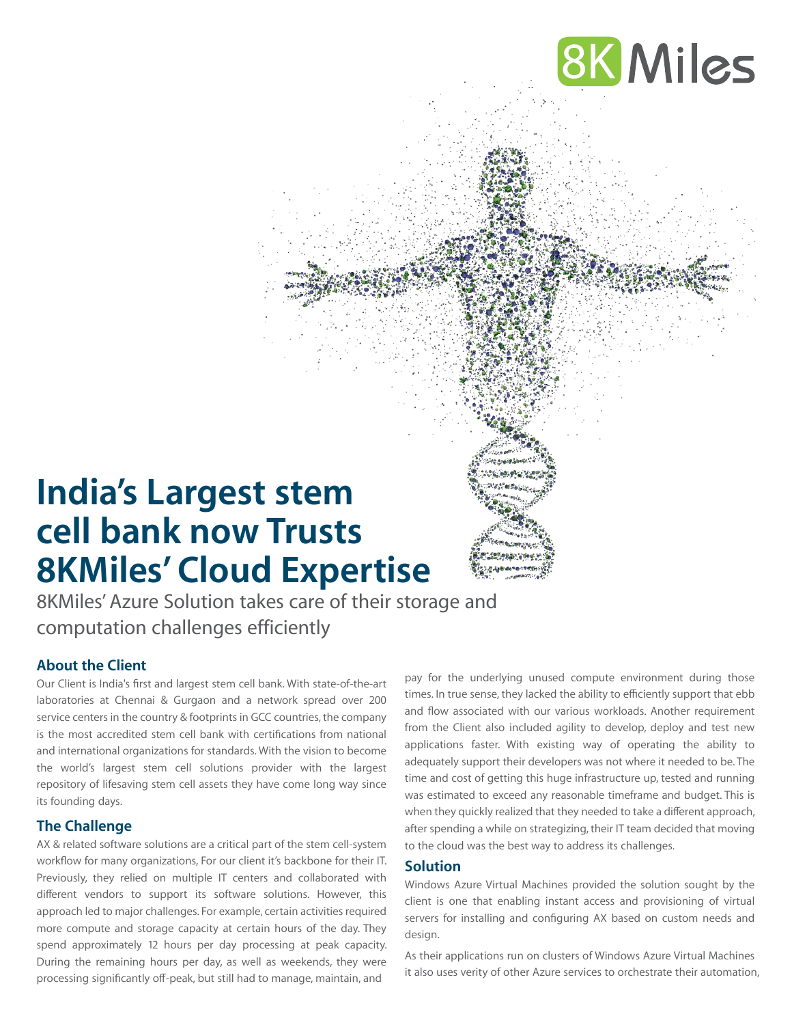

# **India's Largest stem cell bank now Trusts 8KMiles' Cloud Expertise**

8KMiles' Azure Solution takes care of their storage and computation challenges efficiently

# **About the Client**

Our Client is India's first and largest stem cell bank. With state-of-the-art laboratories at Chennai & Gurgaon and a network spread over 200 service centers in the country & footprints in GCC countries, the company is the most accredited stem cell bank with certifications from national and international organizations for standards. With the vision to become the world's largest stem cell solutions provider with the largest repository of lifesaving stem cell assets they have come long way since its founding days.

# **The Challenge**

AX & related software solutions are a critical part of the stem cell-system workflow for many organizations, For our client it's backbone for their IT. Previously, they relied on multiple IT centers and collaborated with different vendors to support its software solutions. However, this approach led to major challenges. For example, certain activities required more compute and storage capacity at certain hours of the day. They spend approximately 12 hours per day processing at peak capacity. During the remaining hours per day, as well as weekends, they were processing significantly off-peak, but still had to manage, maintain, and

pay for the underlying unused compute environment during those times. In true sense, they lacked the ability to efficiently support that ebb and flow associated with our various workloads. Another requirement from the Client also included agility to develop, deploy and test new applications faster. With existing way of operating the ability to adequately support their developers was not where it needed to be. The time and cost of getting this huge infrastructure up, tested and running was estimated to exceed any reasonable timeframe and budget. This is when they quickly realized that they needed to take a different approach, after spending a while on strategizing, their IT team decided that moving to the cloud was the best way to address its challenges.

#### **Solution**

Windows Azure Virtual Machines provided the solution sought by the client is one that enabling instant access and provisioning of virtual servers for installing and configuring AX based on custom needs and design.

As their applications run on clusters of Windows Azure Virtual Machines it also uses verity of other Azure services to orchestrate their automation,